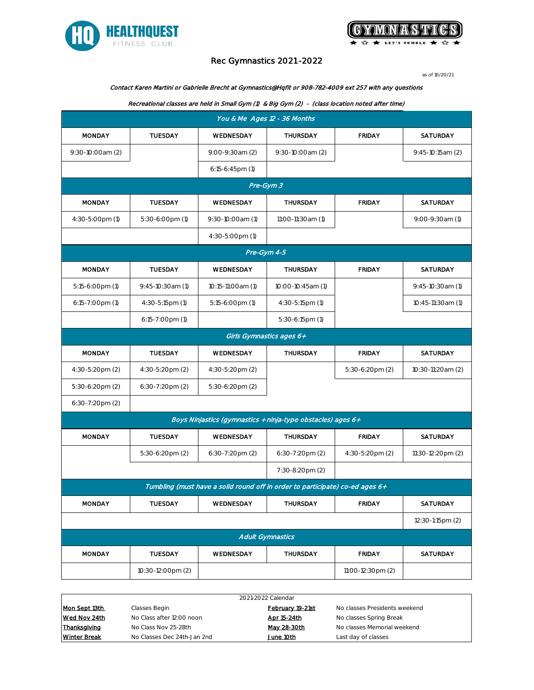



# Rec Gymnastics 2021 -2022

as of 10/20/21

### Contact Karen Martini or Gabrielle Brecht at Gymnastics@Hqfit or 908-782-4009 ext 257 with any questions

#### Recreational classes are held in Small Gym (1) & Big Gym (2) - (class location noted after time)

| You & Me Ages 12 - 36 Months                                                 |                                                             |                          |                      |                   |                   |  |  |
|------------------------------------------------------------------------------|-------------------------------------------------------------|--------------------------|----------------------|-------------------|-------------------|--|--|
| <b>MONDAY</b>                                                                | <b>TUESDAY</b>                                              | WEDNESDAY                | <b>THURSDAY</b>      | <b>FRIDAY</b>     | SATURDAY          |  |  |
| 9:30-10:00am (2)                                                             |                                                             | 9:00-9:30am (2)          | 9:30-10:00am (2)     |                   | 9:45-10:15am (2)  |  |  |
|                                                                              |                                                             | $6:15-6:45$ pm $(1)$     |                      |                   |                   |  |  |
|                                                                              |                                                             |                          | Pre-Gym 3            |                   |                   |  |  |
| <b>MONDAY</b>                                                                | <b>TUESDAY</b>                                              | WEDNESDAY                | THURSDAY             | <b>FRIDAY</b>     | <b>SATURDAY</b>   |  |  |
| 4:30-5:00pm (1)                                                              | 5:30-6:00pm (1)                                             | 9:30-10:00am (1)         | 11:00-11:30am (1)    |                   | 9:00-9:30am (1)   |  |  |
|                                                                              |                                                             | 4:30-5:00pm (1)          |                      |                   |                   |  |  |
|                                                                              | Pre-Gym 4-5                                                 |                          |                      |                   |                   |  |  |
| <b>MONDAY</b>                                                                | <b>TUESDAY</b>                                              | WEDNESDAY                | THURSDAY             | <b>FRIDAY</b>     | <b>SATURDAY</b>   |  |  |
| 5:15-6:00pm (1)                                                              | 9:45-10:30am (1)                                            | 10:15-11:00am (1)        | 10:00-10:45am (1)    |                   | 9:45-10:30am (1)  |  |  |
| 6:15-7:00pm (1)                                                              | 4:30-5:15pm (1)                                             | 5:15-6:00pm (1)          | 4:30-5:15pm (1)      |                   | 10:45-11:30am (1) |  |  |
|                                                                              | $6:15 - 7:00$ pm $(1)$                                      |                          | $5:30-6:15$ pm $(1)$ |                   |                   |  |  |
|                                                                              |                                                             | Girls Gymnastics ages 6+ |                      |                   |                   |  |  |
| <b>MONDAY</b>                                                                | TUESDAY                                                     | WEDNESDAY                | THURSDAY             | <b>FRIDAY</b>     | SATURDAY          |  |  |
| 4:30-5:20pm (2)                                                              | 4:30-5:20pm (2)                                             | 4:30-5:20pm (2)          |                      | 5:30-6:20pm (2)   | 10:30-11:20am (2) |  |  |
| 5:30-6:20pm (2)                                                              | 6:30-7:20pm (2)                                             | 5:30-6:20pm (2)          |                      |                   |                   |  |  |
| 6:30-7:20pm (2)                                                              |                                                             |                          |                      |                   |                   |  |  |
|                                                                              | Boys Ninjastics (gymnastics + ninja-type obstacles) ages 6+ |                          |                      |                   |                   |  |  |
| <b>MONDAY</b>                                                                | <b>TUESDAY</b>                                              | WEDNESDAY                | THURSDAY             | <b>FRIDAY</b>     | SATURDAY          |  |  |
|                                                                              | 5:30-6:20pm (2)                                             | 6:30-7:20pm (2)          | 6:30-7:20pm (2)      | 4:30-5:20pm (2)   | 11:30-12:20pm (2) |  |  |
|                                                                              |                                                             |                          | 7:30-8:20pm (2)      |                   |                   |  |  |
| Tumbling (must have a solid round off in order to participate) co-ed ages 6+ |                                                             |                          |                      |                   |                   |  |  |
| <b>MONDAY</b>                                                                | <b>TUESDAY</b>                                              | WEDNESDAY                | THURSDAY             | <b>FRIDAY</b>     | SATURDAY          |  |  |
|                                                                              |                                                             |                          |                      |                   | 12:30-1:15pm (2)  |  |  |
|                                                                              | <b>Adult Gymnastics</b>                                     |                          |                      |                   |                   |  |  |
| <b>MONDAY</b>                                                                | TUESDAY                                                     | WEDNESDAY                | THURSDAY             | <b>FRIDAY</b>     | SATURDAY          |  |  |
|                                                                              | 10:30-12:00pm (2)                                           |                          |                      | 11:00-12:30pm (2) |                   |  |  |

| 2021-2022 Calendar  |                             |                  |                               |  |  |
|---------------------|-----------------------------|------------------|-------------------------------|--|--|
| Mon Sept 13th       | Classes Begin               | February 19-21st | No classes Presidents weekend |  |  |
| Wed Nov 24th        | No Class after 12:00 noon   | Apr 15-24th      | No classes Spring Break       |  |  |
| Thanksgiving        | No Class Nov 25-28th        | May 28-30th      | No classes Memorial weekend   |  |  |
| <b>Winter Break</b> | No Classes Dec 24th-Jan 2nd | June 10th        | Last day of classes           |  |  |